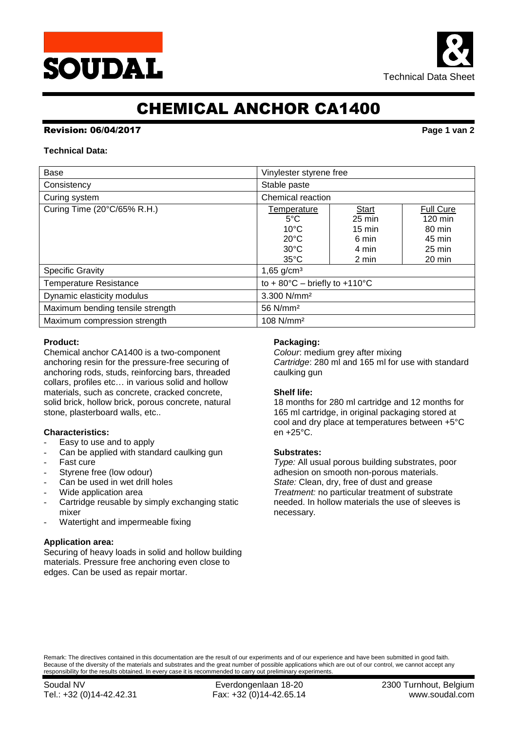



# CHEMICAL ANCHOR CA1400

# Revision: 06/04/2017 **Page 1 van 2**

## **Technical Data:**

| Base                             | Vinylester styrene free                                                                              |                                                                          |                                                                                                   |  |  |
|----------------------------------|------------------------------------------------------------------------------------------------------|--------------------------------------------------------------------------|---------------------------------------------------------------------------------------------------|--|--|
| Consistency                      | Stable paste                                                                                         |                                                                          |                                                                                                   |  |  |
| Curing system                    | Chemical reaction                                                                                    |                                                                          |                                                                                                   |  |  |
| Curing Time (20°C/65% R.H.)      | Temperature<br>$5^{\circ}$ C<br>$10^{\circ}$ C<br>$20^{\circ}$ C<br>$30^{\circ}$ C<br>$35^{\circ}$ C | Start<br>$25 \text{ min}$<br>$15 \text{ min}$<br>6 min<br>4 min<br>2 min | <b>Full Cure</b><br>$120 \text{ min}$<br>80 min<br>45 min<br>$25 \text{ min}$<br>$20 \text{ min}$ |  |  |
| <b>Specific Gravity</b>          | 1,65 $g/cm3$                                                                                         |                                                                          |                                                                                                   |  |  |
| <b>Temperature Resistance</b>    | to + $80^{\circ}$ C – briefly to +110 $^{\circ}$ C                                                   |                                                                          |                                                                                                   |  |  |
| Dynamic elasticity modulus       | 3.300 N/mm <sup>2</sup>                                                                              |                                                                          |                                                                                                   |  |  |
| Maximum bending tensile strength | 56 N/mm <sup>2</sup>                                                                                 |                                                                          |                                                                                                   |  |  |
| Maximum compression strength     | $108$ N/mm <sup>2</sup>                                                                              |                                                                          |                                                                                                   |  |  |

### **Product:**

Chemical anchor CA1400 is a two-component anchoring resin for the pressure-free securing of anchoring rods, studs, reinforcing bars, threaded collars, profiles etc… in various solid and hollow materials, such as concrete, cracked concrete, solid brick, hollow brick, porous concrete, natural stone, plasterboard walls, etc..

# **Characteristics:**

- Easy to use and to apply
- Can be applied with standard caulking gun
- Fast cure
- Styrene free (low odour)
- Can be used in wet drill holes
- Wide application area
- Cartridge reusable by simply exchanging static mixer
- Watertight and impermeable fixing

# **Application area:**

Securing of heavy loads in solid and hollow building materials. Pressure free anchoring even close to edges. Can be used as repair mortar.

### **Packaging:**

*Colour*: medium grey after mixing *Cartridge*: 280 ml and 165 ml for use with standard caulking gun

# **Shelf life:**

18 months for 280 ml cartridge and 12 months for 165 ml cartridge, in original packaging stored at cool and dry place at temperatures between +5°C en +25°C.

#### **Substrates:**

*Type:* All usual porous building substrates, poor adhesion on smooth non-porous materials. *State:* Clean, dry, free of dust and grease *Treatment:* no particular treatment of substrate needed. In hollow materials the use of sleeves is necessary.

Remark: The directives contained in this documentation are the result of our experiments and of our experience and have been submitted in good faith. Because of the diversity of the materials and substrates and the great number of possible applications which are out of our control, we cannot accept any responsibility for the results obtained. In every case it is recommended to carry out preliminary experiments.

Soudal NV Everdongenlaan 18-20 2300 Turnhout, Belgium